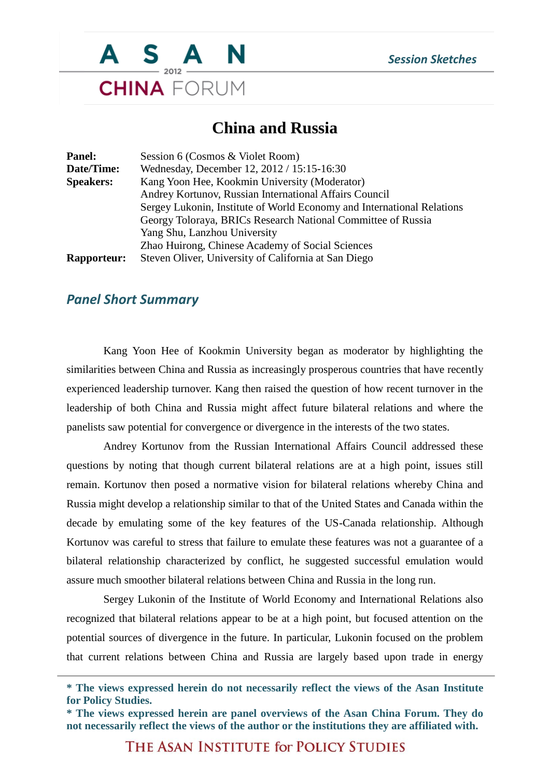

## **China and Russia**

| <b>Panel:</b>      | Session 6 (Cosmos & Violet Room)                                       |
|--------------------|------------------------------------------------------------------------|
| Date/Time:         | Wednesday, December 12, 2012 / 15:15-16:30                             |
| <b>Speakers:</b>   | Kang Yoon Hee, Kookmin University (Moderator)                          |
|                    | Andrey Kortunov, Russian International Affairs Council                 |
|                    | Sergey Lukonin, Institute of World Economy and International Relations |
|                    | Georgy Toloraya, BRICs Research National Committee of Russia           |
|                    | Yang Shu, Lanzhou University                                           |
|                    | Zhao Huirong, Chinese Academy of Social Sciences                       |
| <b>Rapporteur:</b> | Steven Oliver, University of California at San Diego                   |

## *Panel Short Summary*

Kang Yoon Hee of Kookmin University began as moderator by highlighting the similarities between China and Russia as increasingly prosperous countries that have recently experienced leadership turnover. Kang then raised the question of how recent turnover in the leadership of both China and Russia might affect future bilateral relations and where the panelists saw potential for convergence or divergence in the interests of the two states.

Andrey Kortunov from the Russian International Affairs Council addressed these questions by noting that though current bilateral relations are at a high point, issues still remain. Kortunov then posed a normative vision for bilateral relations whereby China and Russia might develop a relationship similar to that of the United States and Canada within the decade by emulating some of the key features of the US-Canada relationship. Although Kortunov was careful to stress that failure to emulate these features was not a guarantee of a bilateral relationship characterized by conflict, he suggested successful emulation would assure much smoother bilateral relations between China and Russia in the long run.

Sergey Lukonin of the Institute of World Economy and International Relations also recognized that bilateral relations appear to be at a high point, but focused attention on the potential sources of divergence in the future. In particular, Lukonin focused on the problem that current relations between China and Russia are largely based upon trade in energy

THE ASAN INSTITUTE for POLICY STUDIES

**<sup>\*</sup> The views expressed herein do not necessarily reflect the views of the Asan Institute for Policy Studies.**

**<sup>\*</sup> The views expressed herein are panel overviews of the Asan China Forum. They do not necessarily reflect the views of the author or the institutions they are affiliated with.**